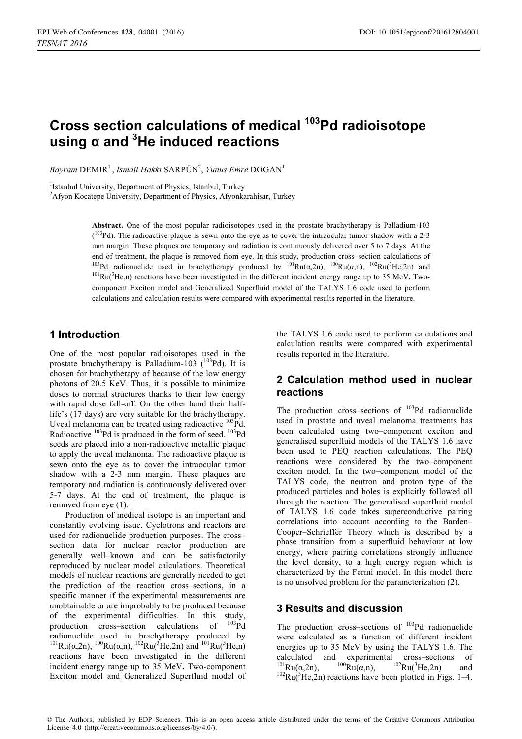# Cross section calculations of medical <sup>103</sup>Pd radioisotope  $\mu$ sing  $\alpha$  and  ${}^{3}$ He induced reactions

 $B$ ayram  $\text{DEMIR}^1$ , *Ismail Hakkı* SARPÜN<sup>2</sup>, *Yunus Emre* DOGAN<sup>1</sup>

<sup>1</sup>Istanbul University, Department of Physics, Istanbul, Turkey

<sup>2</sup>Afyon Kocatepe University, Department of Physics, Afyonkarahisar, Turkey

**Abstract.** One of the most popular radioisotopes used in the prostate brachytherapy is Palladium-103  $(103Pd)$ . The radioactive plaque is sewn onto the eye as to cover the intraocular tumor shadow with a 2-3 mm margin. These plaques are temporary and radiation is continuously delivered over 5 to 7 days. At the end of treatment, the plaque is removed from eye. In this study, production cross–section calculations of  $^{103}Pd$  radionuclide used in brachytherapy produced by  $^{101}Ru(\alpha,a), \frac{100}Ru(\alpha,n), \frac{102}Ru(^3He,2n)$  and <sup>103</sup>Pd radionuclide used in brachytherapy produced by <sup>101</sup>Ru( $\alpha$ ,2n), <sup>102</sup>Ru( $\alpha$ ,n), <sup>102</sup>Ru(<sup>3</sup>He,2n) and <sup>101</sup>Ru( $\alpha$ <sup>3</sup>He,n) reactions have been investigated in the different incident energy range up to 35 MeV. Tw component Exciton model and Generalized Superfluid model of the TALYS 1.6 code used to perform calculations and calculation results were compared with experimental results reported in the literature.

#### **1** Introduction

One of the most popular radioisotopes used in the prostate brachytherapy is Palladium-103  $(^{103}Pd)$ . It is chosen for brachytherapy of because of the low energy photons of 20.5 KeV. Thus, it is possible to minimize doses to normal structures thanks to their low energy with rapid dose fall-off. On the other hand their halflife's (17 days) are very suitable for the brachytherapy. Uveal melanoma can be treated using radioactive  $^{103}$ Pd. Radioactive <sup>103</sup>Pd is produced in the form of seed. <sup>103</sup>Pd seeds are placed into a non-radioactive metallic plaque to apply the uveal melanoma. The radioactive plaque is sewn onto the eye as to cover the intraocular tumor shadow with a 2-3 mm margin. These plaques are temporary and radiation is continuously delivered over 5-7 days. At the end of treatment, the plaque is removed from eye (1).

Production of medical isotope is an important and constantly evolving issue. Cyclotrons and reactors are used for radionuclide production purposes. The cross– section data for nuclear reactor production are generally well–known and can be satisfactorily reproduced by nuclear model calculations. Theoretical models of nuclear reactions are generally needed to get the prediction of the reaction cross–sections, in a specific manner if the experimental measurements are unobtainable or are improbably to be produced because of the experimental difficulties. In this study,<br>production cross-section calculations of  $^{103}Pd$ production cross–section calculations of radionuclide used in brachytherapy produced by <sup>101</sup>Ru(α,2n), <sup>100</sup>Ru(α,n), <sup>102</sup>Ru(<sup>3</sup>He,2n) and <sup>101</sup>Ru(<sup>3</sup>He,n) reactions have been investigated in the different incident energy range up to 35 MeV**.** Two-component Exciton model and Generalized Superfluid model of

the TALYS 1.6 code used to perform calculations and calculation results were compared with experimental results reported in the literature.

#### 2 Calculation method used in nuclear **reactions**

The production cross–sections of  $103Pd$  radionuclide used in prostate and uveal melanoma treatments has been calculated using two–component exciton and generalised superfluid models of the TALYS 1.6 have been used to PEQ reaction calculations. The PEQ reactions were considered by the two–component exciton model. In the two–component model of the TALYS code, the neutron and proton type of the produced particles and holes is explicitly followed all through the reaction. The generalised superfluid model of TALYS 1.6 code takes superconductive pairing correlations into account according to the Barden– Cooper–Schrieffer Theory which is described by a phase transition from a superfluid behaviour at low energy, where pairing correlations strongly influence the level density, to a high energy region which is characterized by the Fermi model. In this model there is no unsolved problem for the parameterization (2).

### **3 Results and discussion**

The production cross–sections of  $103Pd$  radionuclide were calculated as a function of different incident energies up to 35 MeV by using the TALYS 1.6. The calculated and experimental cross–sections of  $^{101}Ru(\alpha,2n),$   $^{100}Ru(\alpha,n),$   $^{102}Ru(^3)$ <sup>101</sup>Ru( $\alpha$ ,2n), <sup>100</sup>Ru( $\alpha$ ,n), <sup>102</sup>Ru(<sup>3</sup>He,2n) and <sup>102</sup>Ru(<sup>3</sup>He,2n) reactions have been plotted in Figs. 1–4.